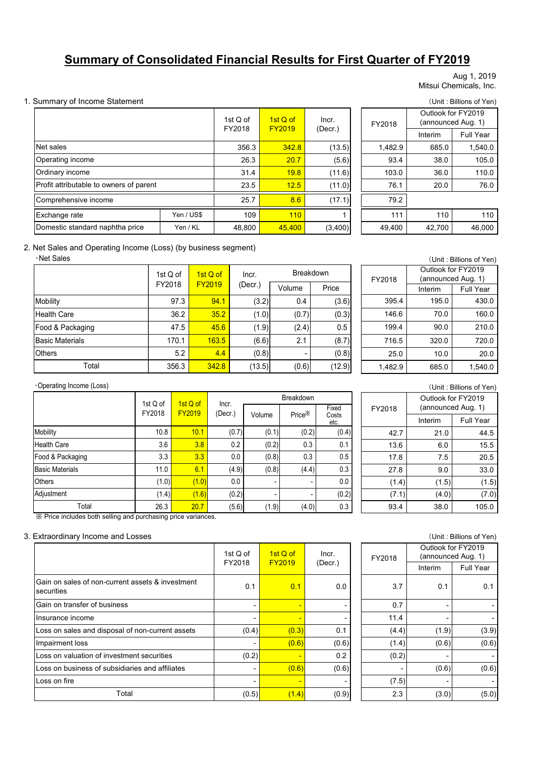# **Summary of Consolidated Financial Results for First Quarter of FY2019**

Aug 1, 2019 Mitsui Chemicals, Inc.

#### 1. Summary of Income Statement (Unit : Billions of Yen)

|                                         |            | 1st Q of<br>FY2018 | 1st Q of<br><b>FY2019</b> | Incr.<br>(Decr.) | FY2018  |
|-----------------------------------------|------------|--------------------|---------------------------|------------------|---------|
| Net sales                               |            | 356.3              | 342.8                     | (13.5)           | 1,482.9 |
| Operating income                        |            | 26.3               | 20.7                      | (5.6)            | 93.4    |
| Ordinary income                         |            | 31.4               | 19.8                      | (11.6)           | 103.0   |
| Profit attributable to owners of parent |            | 23.5               | 12.5                      | (11.0)           | 76.1    |
| Comprehensive income                    |            | 25.7               | 8.6                       | (17.1)           | 79.2    |
| Exchange rate                           | Yen / US\$ | 109                | 110                       |                  | 111     |
| Domestic standard naphtha price         | Yen / KL   | 48,800             | 45.400                    | (3,400)          | 49,400  |

| 1st Q of<br>: Q of<br><b>FY2019</b> |        | Incr.   | FY2018  | Outlook for FY2019<br>(announced Aug. 1) |                  |  |
|-------------------------------------|--------|---------|---------|------------------------------------------|------------------|--|
| 2018                                |        | (Decr.) |         | Interim                                  | <b>Full Year</b> |  |
| 356.3                               | 342.8  | (13.5)  | 1,482.9 | 685.0                                    | 1,540.0          |  |
| 26.3                                | 20.7   | (5.6)   | 93.4    | 38.0                                     | 105.0            |  |
| 31.4                                | 19.8   | (11.6)  | 103.0   | 36.0                                     | 110.0            |  |
| 23.5                                | 12.5   | (11.0)  | 76.1    | 20.0                                     | 76.0             |  |
| 25.7                                | 8.6    | (17.1)  | 79.2    |                                          |                  |  |
| 109                                 | 110    |         | 111     | 110                                      | 110              |  |
| 48,800                              | 45.400 | (3,400) | 49,400  | 42,700                                   | 46,000           |  |

#### 2. Net Sales and Operating Income (Loss) (by business segment)

#### ・Net Sales

|                        | 1st Q of | 1st Q of      | Incr.   | <b>Breakdown</b> |        |
|------------------------|----------|---------------|---------|------------------|--------|
|                        | FY2018   | <b>FY2019</b> | (Decr.) | Volume           | Price  |
| Mobility               | 97.3     | 94.1          | (3.2)   | 0.4              | (3.6)  |
| <b>Health Care</b>     | 36.2     | 35.2          | (1.0)   | (0.7)            | (0.3)  |
| Food & Packaging       | 47.5     | 45.6          | (1.9)   | (2.4)            | 0.5    |
| <b>Basic Materials</b> | 170.1    | 163.5         | (6.6)   | 2.1              | (8.7)  |
| <b>Others</b>          | 5.2      | 4.4           | (0.8)   |                  | (0.8)  |
| Total                  | 356.3    | 342.8         | (13.5)  | (0.6)            | (12.9) |

| (Unit: Billions of Yen) |                    |                    |  |  |  |
|-------------------------|--------------------|--------------------|--|--|--|
|                         |                    | Outlook for FY2019 |  |  |  |
| FY2018                  | (announced Aug. 1) |                    |  |  |  |
|                         | Interim            | Full Year          |  |  |  |
| 395.4                   | 195.0              | 430.0              |  |  |  |
| 146.6                   | 70.0               | 160.0              |  |  |  |
| 199.4                   | 90.0               | 210.0              |  |  |  |
| 716.5                   | 320.0              | 720.0              |  |  |  |
| 25.0                    | 10.0               | 20.0               |  |  |  |
| 1.482.9                 | 685.0              | 1,540.0            |  |  |  |

#### ・Operating Income (Loss)

|                        |                    |                           |                  | <b>Breakdown</b> |                    |                        |  |
|------------------------|--------------------|---------------------------|------------------|------------------|--------------------|------------------------|--|
|                        | 1st Q of<br>FY2018 | 1st Q of<br><b>FY2019</b> | Incr.<br>(Decr.) | Volume           | Price <sup>*</sup> | Fixed<br>Costs<br>etc. |  |
| Mobility               | 10.8               | 10.1                      | (0.7)            | (0.1)            | (0.2)              | (0.4)                  |  |
| <b>Health Care</b>     | 3.6                | 3.8                       | 0.2              | (0.2)            | 0.3                | 0.1                    |  |
| Food & Packaging       | 3.3                | 3.3                       | 0.0              | (0.8)            | 0.3                | 0.5                    |  |
| <b>Basic Materials</b> | 11.0               | 6.1                       | (4.9)            | (0.8)            | (4.4)              | 0.3                    |  |
| <b>Others</b>          | (1.0)              | (1.0)                     | 0.0              | ۰                | -                  | 0.0                    |  |
| Adjustment             | (1.4)              | (1.6)                     | (0.2)            | ۰                |                    | (0.2)                  |  |
| Total                  | 26.3               | 20.7                      | (5.6)            | (1.9)            | (4.0)              | 0.3                    |  |

※ Price includes both selling and purchasing price variances.

#### 3. Extraordinary Income and Losses (Unit : Billions of Yen)

|                                                                | 1st Q of | $1st$ Q of     | Incr.   | FY2018 |         | Outlook for FY2019<br>(announced Aug. 1) |
|----------------------------------------------------------------|----------|----------------|---------|--------|---------|------------------------------------------|
|                                                                | FY2018   | <b>FY2019</b>  | (Decr.) |        | Interim | Full Year                                |
| Gain on sales of non-current assets & investment<br>securities | 0.1      | 0.1            | 0.0     | 3.7    | 0.1     | 0.1                                      |
| Gain on transfer of business                                   |          | $\blacksquare$ |         | 0.7    |         |                                          |
| Insurance income                                               |          | $\blacksquare$ |         | 11.4   |         |                                          |
| Loss on sales and disposal of non-current assets               | (0.4)    | (0.3)          | 0.1     | (4.4)  | (1.9)   | (3.9)                                    |
| Impairment loss                                                |          | (0.6)          | (0.6)   | (1.4)  | (0.6)   | (0.6)                                    |
| Loss on valuation of investment securities                     | (0.2)    | $\blacksquare$ | 0.2     | (0.2)  |         | ٠                                        |
| Loss on business of subsidiaries and affiliates                |          | (0.6)          | (0.6)   |        | (0.6)   | (0.6)                                    |
| Loss on fire                                                   |          | -              |         | (7.5)  |         |                                          |
| Total                                                          | (0.5)    | (1.4)          | (0.9)   | 2.3    | (3.0)   | (5.0)                                    |

# Interim Full Year 0.1 <mark>| 0.1 |</mark> 0.0 | 3.7 | 0.1 | 0.1 - - - 0.7 - -  $(0.4)$   $(0.3)$  0.1 (4.4)  $(1.9)$  (3.9) - <mark>(0.6)</mark> (0.6) (0.6) (1.4) (0.6) (0.6)  $(0.2)$  - 0.2 (0.2) -- <mark>(0.6)</mark> (0.6) - (0.6) (0.6) FY2019 FY2018 Outlook for FY2019 (announced Aug. 1)

### (Unit : Billions of Yen)

| FY2018 | Outlook for FY2019<br>(announced Aug. 1) |                  |  |  |
|--------|------------------------------------------|------------------|--|--|
|        | Interim                                  | <b>Full Year</b> |  |  |
| 42.7   | 21.0                                     | 44.5             |  |  |
| 13.6   | 6.0                                      | 15.5             |  |  |
| 17.8   | 7.5                                      | 20.5             |  |  |
| 27.8   | 9.0                                      | 33.0             |  |  |
| (1.4)  | (1.5)                                    | (1.5)            |  |  |
| (7.1)  | (4.0)                                    | (7.0)            |  |  |
| 93.4   | 38.0                                     | 105.0            |  |  |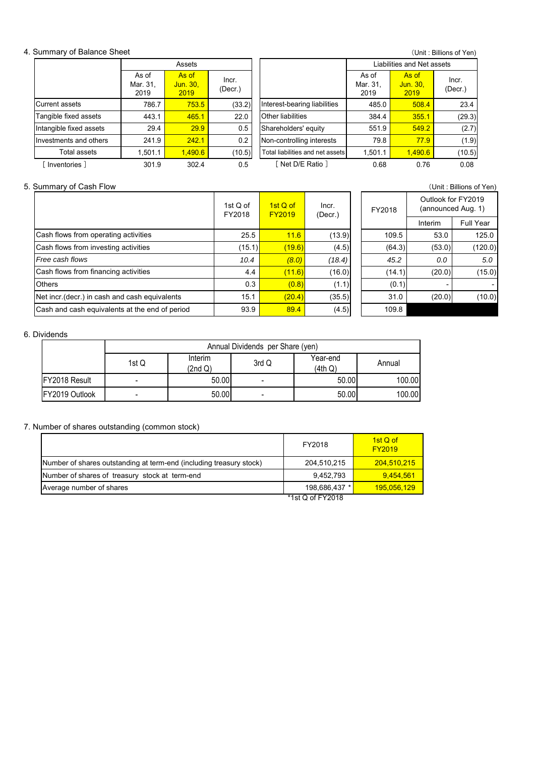#### 4. Summary of Balance Sheet

(Unit : Billions of Yen) Current assets | 786.7 | 753.5 | (33.2)| |Interest-bearing liabilities | 485.0 | 508.4 | 23.4 443.1 465.1 22.0 Other liabilities 1384.4 355.1 (29.3) 29.4 29.9 0.5 Shareholders' equity 1 551.9 549.2 (2.7) Investments and others | 241.9 | 242.1 | 0.2 | |Non-controlling interests | 79.8 | 77.9 | (1.9) 1,501.1 **1**,490.6 (10.5) | Total liabilities and net assets 1,501.1 <mark>1 1,490.6</mark> (10.5) [ Inventories ] 301.9 302.4 0.5 0.68 0.76 0.08 [ Net D/E Ratio ] Assets **Assets Liabilities and Net assets** As of Mar. 31, 2019 As of Jun. 30, 2019 Incr. (Decr.) As of Mar. 31, 2019 As of Jun. 30, 2019 Incr. (Decr.) Tangible fixed assets Intangible fixed assets Total assets

#### 5. Summary of Cash Flow (Unit : Billions of Yen)

|                                                | 1st $Q$ of<br>FY2018 | 1st Q of<br><b>FY2019</b> | Incr.<br>(Decr.) | FY2018 | Outlook for FY2019 | (announced Aug. 1) |
|------------------------------------------------|----------------------|---------------------------|------------------|--------|--------------------|--------------------|
|                                                |                      |                           |                  |        | Interim            | Full Year          |
| Cash flows from operating activities           | 25.5                 | 11.6                      | (13.9)           | 109.5  | 53.0               | 125.0              |
| Cash flows from investing activities           | (15.1)               | (19.6)                    | (4.5)            | (64.3) | (53.0)             | (120.0)            |
| Free cash flows                                | 10.4                 | (8.0)                     | (18.4)           | 45.2   | 0.0                | 5.0                |
| Cash flows from financing activities           | 4.4                  | (11.6)                    | (16.0)           | (14.1) | (20.0)             | (15.0)             |
| <b>Others</b>                                  | 0.3                  | (0.8)                     | (1.1)            | (0.1)  |                    |                    |
| Net incr. (decr.) in cash and cash equivalents | 15.1                 | (20.4)                    | (35.5)           | 31.0   | (20.0)             | (10.0)             |
| Cash and cash equivalents at the end of period | 93.9                 | 89.4                      | (4.5)            | 109.8  |                    |                    |
|                                                |                      |                           |                  |        |                    |                    |

#### 6. Dividends

|                       | Annual Dividends per Share (yen) |                    |                          |                     |        |  |  |
|-----------------------|----------------------------------|--------------------|--------------------------|---------------------|--------|--|--|
|                       | 1st Q                            | Interim<br>(2nd Q) | 3rd Q                    | Year-end<br>(4th Q) | Annual |  |  |
| <b>IFY2018 Result</b> | -                                | 50.00              | -                        | 50.00               | 100.00 |  |  |
| FY2019 Outlook        |                                  | 50.00              | $\overline{\phantom{0}}$ | 50.00               | 100.00 |  |  |

### 7. Number of shares outstanding (common stock)

|                                                                     | FY2018           | $1st$ Q of<br><b>FY2019</b> |
|---------------------------------------------------------------------|------------------|-----------------------------|
| Number of shares outstanding at term-end (including treasury stock) | 204,510,215      | 204,510,215                 |
| Number of shares of treasury stock at term-end                      | 9.452.793        | 9.454.561                   |
| Average number of shares                                            | 198.686.437 *    | 195,056,129                 |
|                                                                     | *1st Q of FY2018 |                             |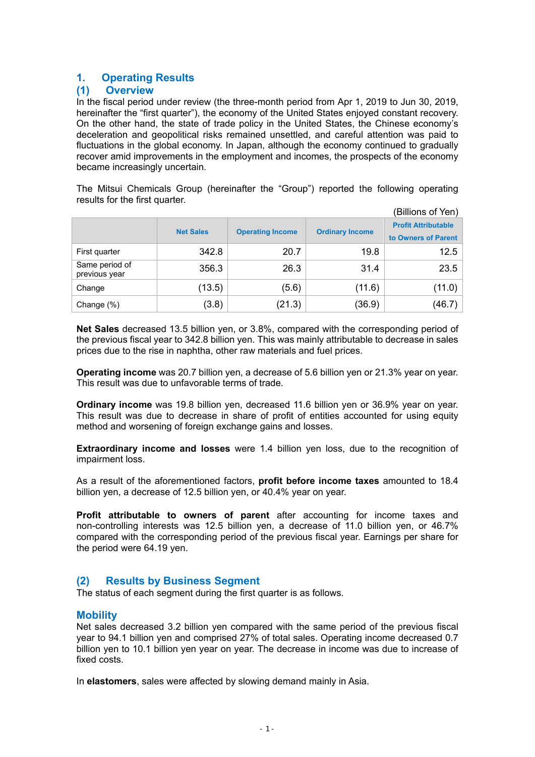# **1. Operating Results**

### **(1) Overview**

In the fiscal period under review (the three-month period from Apr 1, 2019 to Jun 30, 2019, hereinafter the "first quarter"), the economy of the United States enjoyed constant recovery. On the other hand, the state of trade policy in the United States, the Chinese economy's deceleration and geopolitical risks remained unsettled, and careful attention was paid to fluctuations in the global economy. In Japan, although the economy continued to gradually recover amid improvements in the employment and incomes, the prospects of the economy became increasingly uncertain.

The Mitsui Chemicals Group (hereinafter the "Group") reported the following operating results for the first quarter.

|                                 |                  |                         |                        | (Billions of Yen)                                 |
|---------------------------------|------------------|-------------------------|------------------------|---------------------------------------------------|
|                                 | <b>Net Sales</b> | <b>Operating Income</b> | <b>Ordinary Income</b> | <b>Profit Attributable</b><br>to Owners of Parent |
| First quarter                   | 342.8            | 20.7                    | 19.8                   | 12.5                                              |
| Same period of<br>previous year | 356.3            | 26.3                    | 31.4                   | 23.5                                              |
| Change                          | (13.5)           | (5.6)                   | (11.6)                 | (11.0)                                            |
| Change (%)                      | (3.8)            | (21.3)                  | (36.9)                 | (46.7)                                            |

**Net Sales** decreased 13.5 billion yen, or 3.8%, compared with the corresponding period of the previous fiscal year to 342.8 billion yen. This was mainly attributable to decrease in sales prices due to the rise in naphtha, other raw materials and fuel prices.

**Operating income** was 20.7 billion yen, a decrease of 5.6 billion yen or 21.3% year on year. This result was due to unfavorable terms of trade.

**Ordinary income** was 19.8 billion yen, decreased 11.6 billion yen or 36.9% year on year. This result was due to decrease in share of profit of entities accounted for using equity method and worsening of foreign exchange gains and losses.

**Extraordinary income and losses** were 1.4 billion yen loss, due to the recognition of impairment loss.

As a result of the aforementioned factors, **profit before income taxes** amounted to 18.4 billion yen, a decrease of 12.5 billion yen, or 40.4% year on year.

**Profit attributable to owners of parent** after accounting for income taxes and non-controlling interests was 12.5 billion yen, a decrease of 11.0 billion yen, or 46.7% compared with the corresponding period of the previous fiscal year. Earnings per share for the period were 64.19 yen.

### **(2) Results by Business Segment**

The status of each segment during the first quarter is as follows.

### **Mobility**

Net sales decreased 3.2 billion yen compared with the same period of the previous fiscal year to 94.1 billion yen and comprised 27% of total sales. Operating income decreased 0.7 billion yen to 10.1 billion yen year on year. The decrease in income was due to increase of fixed costs.

In **elastomers**, sales were affected by slowing demand mainly in Asia.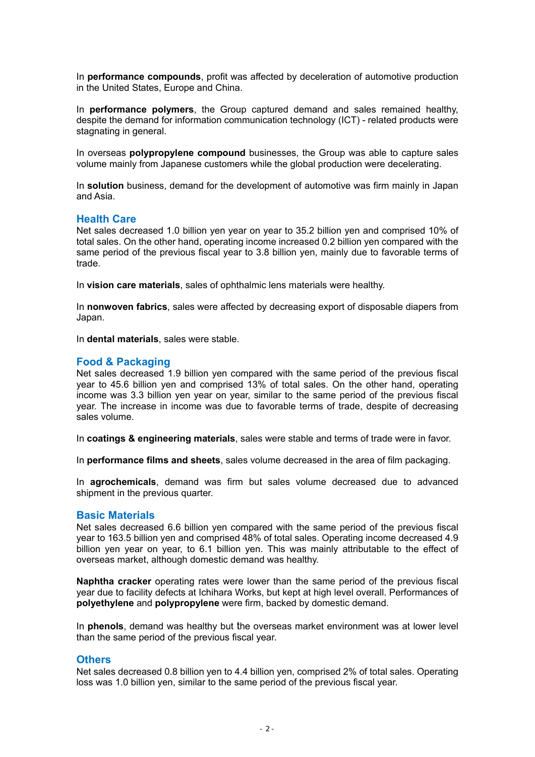In **performance compounds**, profit was affected by deceleration of automotive production in the United States, Europe and China.

In **performance polymers**, the Group captured demand and sales remained healthy, despite the demand for information communication technology (ICT) - related products were stagnating in general.

In overseas **polypropylene compound** businesses, the Group was able to capture sales volume mainly from Japanese customers while the global production were decelerating.

In **solution** business, demand for the development of automotive was firm mainly in Japan and Asia.

### **Health Care**

Net sales decreased 1.0 billion yen year on year to 35.2 billion yen and comprised 10% of total sales. On the other hand, operating income increased 0.2 billion yen compared with the same period of the previous fiscal year to 3.8 billion yen, mainly due to favorable terms of trade.

In **vision care materials**, sales of ophthalmic lens materials were healthy.

In **nonwoven fabrics**, sales were affected by decreasing export of disposable diapers from Japan.

In **dental materials**, sales were stable.

### **Food & Packaging**

Net sales decreased 1.9 billion yen compared with the same period of the previous fiscal year to 45.6 billion yen and comprised 13% of total sales. On the other hand, operating income was 3.3 billion yen year on year, similar to the same period of the previous fiscal year. The increase in income was due to favorable terms of trade, despite of decreasing sales volume.

In **coatings & engineering materials**, sales were stable and terms of trade were in favor.

In **performance films and sheets**, sales volume decreased in the area of film packaging.

In **agrochemicals**, demand was firm but sales volume decreased due to advanced shipment in the previous quarter.

#### **Basic Materials**

Net sales decreased 6.6 billion yen compared with the same period of the previous fiscal year to 163.5 billion yen and comprised 48% of total sales. Operating income decreased 4.9 billion yen year on year, to 6.1 billion yen. This was mainly attributable to the effect of overseas market, although domestic demand was healthy.

**Naphtha cracker** operating rates were lower than the same period of the previous fiscal year due to facility defects at Ichihara Works, but kept at high level overall. Performances of **polyethylene** and **polypropylene** were firm, backed by domestic demand.

In **phenols**, demand was healthy but the overseas market environment was at lower level than the same period of the previous fiscal year.

### **Others**

Net sales decreased 0.8 billion yen to 4.4 billion yen, comprised 2% of total sales. Operating loss was 1.0 billion yen, similar to the same period of the previous fiscal year.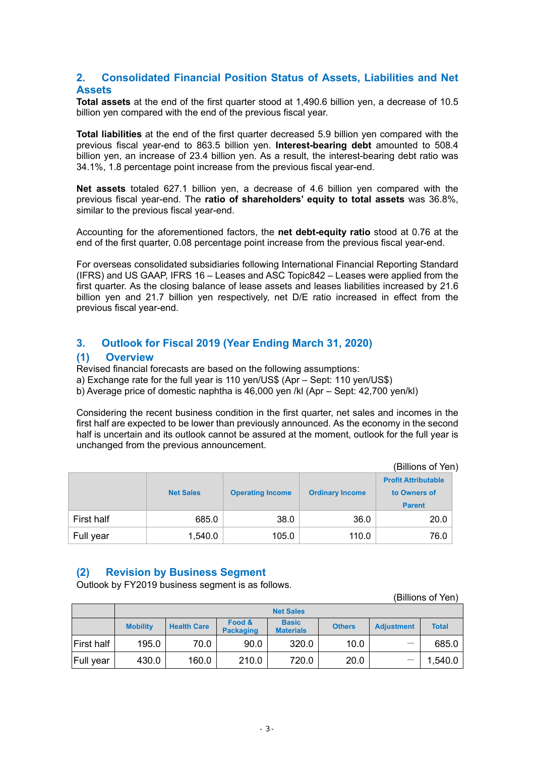## **2. Consolidated Financial Position Status of Assets, Liabilities and Net Assets**

**Total assets** at the end of the first quarter stood at 1,490.6 billion yen, a decrease of 10.5 billion yen compared with the end of the previous fiscal year.

**Total liabilities** at the end of the first quarter decreased 5.9 billion yen compared with the previous fiscal year-end to 863.5 billion yen. **Interest-bearing debt** amounted to 508.4 billion yen, an increase of 23.4 billion yen. As a result, the interest-bearing debt ratio was 34.1%, 1.8 percentage point increase from the previous fiscal year-end.

**Net assets** totaled 627.1 billion yen, a decrease of 4.6 billion yen compared with the previous fiscal year-end. The **ratio of shareholders' equity to total assets** was 36.8%, similar to the previous fiscal year-end.

Accounting for the aforementioned factors, the **net debt-equity ratio** stood at 0.76 at the end of the first quarter, 0.08 percentage point increase from the previous fiscal year-end.

For overseas consolidated subsidiaries following International Financial Reporting Standard (IFRS) and US GAAP, IFRS 16 – Leases and ASC Topic842 – Leases were applied from the first quarter. As the closing balance of lease assets and leases liabilities increased by 21.6 billion yen and 21.7 billion yen respectively, net D/E ratio increased in effect from the previous fiscal year-end.

# **3. Outlook for Fiscal 2019 (Year Ending March 31, 2020)**

### **(1) Overview**

Revised financial forecasts are based on the following assumptions:

a) Exchange rate for the full year is 110 yen/US\$ (Apr – Sept: 110 yen/US\$)

b) Average price of domestic naphtha is 46,000 yen /kl (Apr – Sept: 42,700 yen/kl)

Considering the recent business condition in the first quarter, net sales and incomes in the first half are expected to be lower than previously announced. As the economy in the second half is uncertain and its outlook cannot be assured at the moment, outlook for the full year is unchanged from the previous announcement.

|            |                  |                         |                        | (Billions of Yen)                          |
|------------|------------------|-------------------------|------------------------|--------------------------------------------|
|            | <b>Net Sales</b> | <b>Operating Income</b> | <b>Ordinary Income</b> | <b>Profit Attributable</b><br>to Owners of |
|            |                  |                         |                        | <b>Parent</b>                              |
| First half | 685.0            | 38.0                    | 36.0                   | 20.0                                       |
| Full year  | 1,540.0          | 105.0                   | 110.0                  | 76.0                                       |

### **(2) Revision by Business Segment**

Outlook by FY2019 business segment is as follows.

|                   | (Billions of Yen) |                    |                            |                                  |               |                   |              |  |  |  |
|-------------------|-------------------|--------------------|----------------------------|----------------------------------|---------------|-------------------|--------------|--|--|--|
|                   | <b>Net Sales</b>  |                    |                            |                                  |               |                   |              |  |  |  |
|                   | <b>Mobility</b>   | <b>Health Care</b> | Food &<br><b>Packaging</b> | <b>Basic</b><br><b>Materials</b> | <b>Others</b> | <b>Adjustment</b> | <b>Total</b> |  |  |  |
| <b>First half</b> | 195.0             | 70.0               | 90.0                       | 320.0                            | 10.0          | -                 | 685.0        |  |  |  |
| Full year         | 430.0             | 160.0              | 210.0                      | 720.0                            | 20.0          |                   | 1,540.0      |  |  |  |